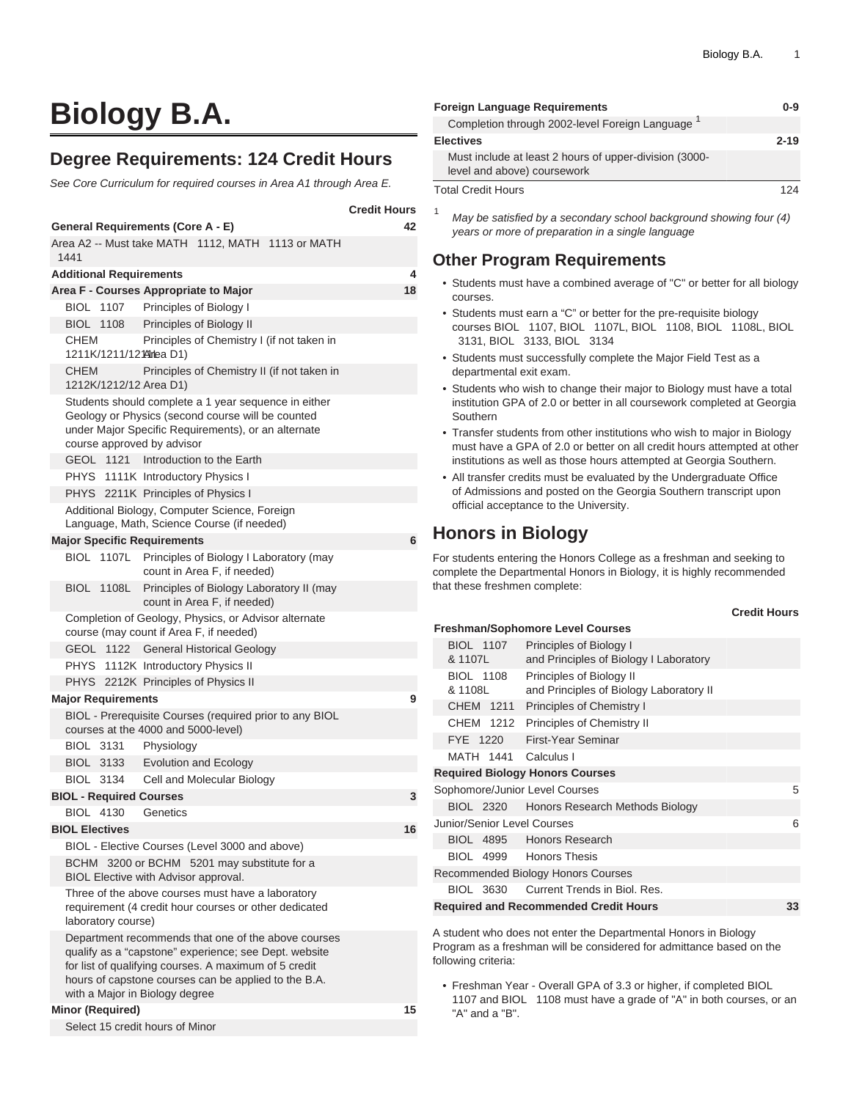# **Biology B.A.**

## **Degree Requirements: 124 Credit Hours**

See Core Curriculum for required courses in Area A1 through Area E.

| <b>Credit Hours</b>                                                                                                                                                                                                                                             |    |  |  |  |  |
|-----------------------------------------------------------------------------------------------------------------------------------------------------------------------------------------------------------------------------------------------------------------|----|--|--|--|--|
| <b>General Requirements (Core A - E)</b>                                                                                                                                                                                                                        | 42 |  |  |  |  |
| Area A2 -- Must take MATH 1112, MATH 1113 or MATH<br>1441                                                                                                                                                                                                       |    |  |  |  |  |
| <b>Additional Requirements</b>                                                                                                                                                                                                                                  | 4  |  |  |  |  |
| Area F - Courses Appropriate to Major                                                                                                                                                                                                                           | 18 |  |  |  |  |
| BIOL 1107 Principles of Biology I                                                                                                                                                                                                                               |    |  |  |  |  |
| <b>BIOL 1108</b><br><b>Principles of Biology II</b>                                                                                                                                                                                                             |    |  |  |  |  |
| CHEM<br>Principles of Chemistry I (if not taken in<br>1211K/1211/121 Mirlea D1)                                                                                                                                                                                 |    |  |  |  |  |
| <b>CHEM</b><br>Principles of Chemistry II (if not taken in<br>1212K/1212/12 Area D1)                                                                                                                                                                            |    |  |  |  |  |
| Students should complete a 1 year sequence in either<br>Geology or Physics (second course will be counted<br>under Major Specific Requirements), or an alternate<br>course approved by advisor                                                                  |    |  |  |  |  |
| GEOL 1121 Introduction to the Earth                                                                                                                                                                                                                             |    |  |  |  |  |
| PHYS 1111K Introductory Physics I                                                                                                                                                                                                                               |    |  |  |  |  |
| PHYS 2211K Principles of Physics I                                                                                                                                                                                                                              |    |  |  |  |  |
| Additional Biology, Computer Science, Foreign<br>Language, Math, Science Course (if needed)                                                                                                                                                                     |    |  |  |  |  |
| <b>Major Specific Requirements</b>                                                                                                                                                                                                                              | 6  |  |  |  |  |
| BIOL 1107L Principles of Biology I Laboratory (may<br>count in Area F, if needed)                                                                                                                                                                               |    |  |  |  |  |
| Principles of Biology Laboratory II (may<br><b>BIOL 1108L</b><br>count in Area F, if needed)                                                                                                                                                                    |    |  |  |  |  |
| Completion of Geology, Physics, or Advisor alternate<br>course (may count if Area F, if needed)                                                                                                                                                                 |    |  |  |  |  |
| GEOL 1122<br><b>General Historical Geology</b>                                                                                                                                                                                                                  |    |  |  |  |  |
| PHYS 1112K Introductory Physics II                                                                                                                                                                                                                              |    |  |  |  |  |
| PHYS 2212K Principles of Physics II                                                                                                                                                                                                                             |    |  |  |  |  |
| <b>Major Requirements</b>                                                                                                                                                                                                                                       | 9  |  |  |  |  |
| BIOL - Prerequisite Courses (required prior to any BIOL<br>courses at the 4000 and 5000-level)                                                                                                                                                                  |    |  |  |  |  |
| <b>BIOL 3131</b><br>Physiology                                                                                                                                                                                                                                  |    |  |  |  |  |
| <b>BIOL 3133</b><br>Evolution and Ecology                                                                                                                                                                                                                       |    |  |  |  |  |
| Cell and Molecular Biology<br><b>BIOL 3134</b>                                                                                                                                                                                                                  |    |  |  |  |  |
| <b>BIOL - Required Courses</b>                                                                                                                                                                                                                                  | 3  |  |  |  |  |
| <b>BIOL 4130</b><br>Genetics                                                                                                                                                                                                                                    |    |  |  |  |  |
| <b>BIOL Electives</b>                                                                                                                                                                                                                                           | 16 |  |  |  |  |
| BIOL - Elective Courses (Level 3000 and above)                                                                                                                                                                                                                  |    |  |  |  |  |
| BCHM 3200 or BCHM 5201 may substitute for a<br>BIOL Elective with Advisor approval.                                                                                                                                                                             |    |  |  |  |  |
| Three of the above courses must have a laboratory<br>requirement (4 credit hour courses or other dedicated<br>laboratory course)                                                                                                                                |    |  |  |  |  |
| Department recommends that one of the above courses<br>qualify as a "capstone" experience; see Dept. website<br>for list of qualifying courses. A maximum of 5 credit<br>hours of capstone courses can be applied to the B.A.<br>with a Major in Biology degree |    |  |  |  |  |
| <b>Minor (Required)</b>                                                                                                                                                                                                                                         | 15 |  |  |  |  |
| Select 15 credit hours of Minor                                                                                                                                                                                                                                 |    |  |  |  |  |

| <b>Foreign Language Requirements</b>                                                  |          |  |  |
|---------------------------------------------------------------------------------------|----------|--|--|
| Completion through 2002-level Foreign Language <sup>1</sup>                           |          |  |  |
| <b>Electives</b>                                                                      | $2 - 19$ |  |  |
| Must include at least 2 hours of upper-division (3000-<br>level and above) coursework |          |  |  |
| <b>Total Credit Hours</b>                                                             | 124      |  |  |

<sup>1</sup> May be satisfied by a secondary school background showing four  $(4)$ years or more of preparation in a single language

#### **Other Program Requirements**

- Students must have a combined average of "C" or better for all biology courses.
- Students must earn a "C" or better for the pre-requisite biology courses BIOL 1107, BIOL 1107L, BIOL 1108, BIOL 1108L, BIOL 3131, BIOL 3133, BIOL 3134
- Students must successfully complete the Major Field Test as a departmental exit exam.
- Students who wish to change their major to Biology must have a total institution GPA of 2.0 or better in all coursework completed at Georgia Southern
- Transfer students from other institutions who wish to major in Biology must have a GPA of 2.0 or better on all credit hours attempted at other institutions as well as those hours attempted at Georgia Southern.
- All transfer credits must be evaluated by the Undergraduate Office of Admissions and posted on the Georgia Southern transcript upon official acceptance to the University.

# **Honors in Biology**

For students entering the Honors College as a freshman and seeking to complete the Departmental Honors in Biology, it is highly recommended that these freshmen complete:

#### **Credit Hours**

|         |                             | <b>Freshman/Sophomore Level Courses</b>                             |    |
|---------|-----------------------------|---------------------------------------------------------------------|----|
|         | <b>BIOL 1107</b><br>& 1107L | Principles of Biology I<br>and Principles of Biology I Laboratory   |    |
| & 1108L | <b>BIOL 1108</b>            | Principles of Biology II<br>and Principles of Biology Laboratory II |    |
|         | CHEM 1211                   | Principles of Chemistry I                                           |    |
|         | CHEM 1212                   | Principles of Chemistry II                                          |    |
|         | FYE 1220                    | First-Year Seminar                                                  |    |
|         |                             | MATH 1441 Calculus I                                                |    |
|         |                             | <b>Required Biology Honors Courses</b>                              |    |
|         |                             | Sophomore/Junior Level Courses                                      | 5  |
|         |                             | BIOL 2320 Honors Research Methods Biology                           |    |
|         |                             | Junior/Senior Level Courses                                         | 6  |
|         |                             | BIOL 4895 Honors Research                                           |    |
|         |                             | BIOL 4999 Honors Thesis                                             |    |
|         |                             | Recommended Biology Honors Courses                                  |    |
|         |                             | BIOL 3630 Current Trends in Biol. Res.                              |    |
|         |                             | <b>Required and Recommended Credit Hours</b>                        | 33 |
|         |                             |                                                                     |    |

A student who does not enter the Departmental Honors in Biology Program as a freshman will be considered for admittance based on the following criteria:

• Freshman Year - Overall GPA of 3.3 or higher, if completed BIOL 1107 and BIOL 1108 must have a grade of "A" in both courses, or an "A" and a "B".